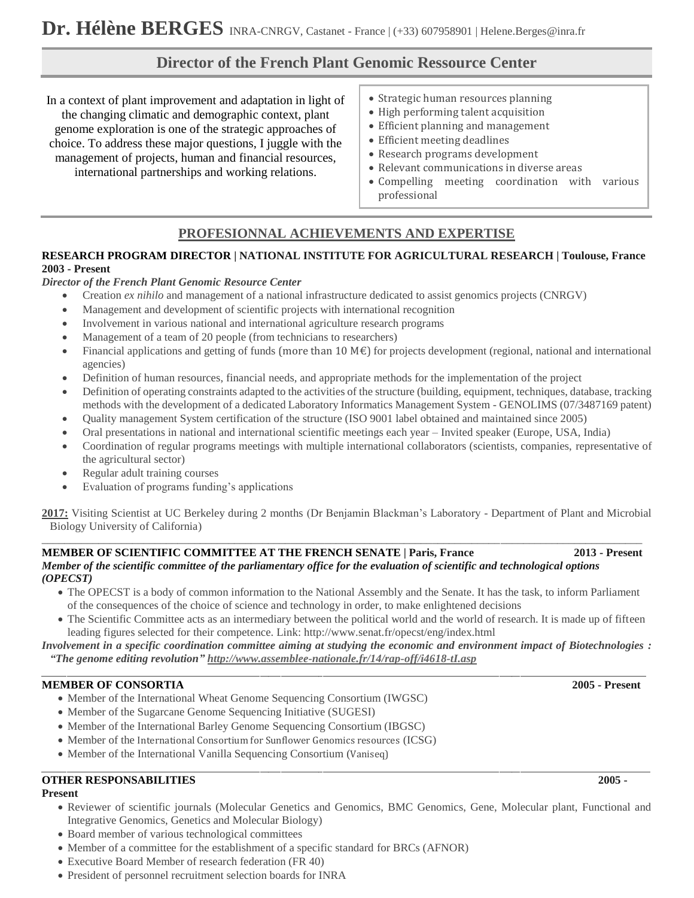# **Director of the French Plant Genomic Ressource Center**

In a context of plant improvement and adaptation in light of the changing climatic and demographic context, plant genome exploration is one of the strategic approaches of choice. To address these major questions, I juggle with the management of projects, human and financial resources, international partnerships and working relations.

- Strategic human resources planning
- High performing talent acquisition
- Efficient planning and management
- Efficient meeting deadlines
- Research programs development
- Relevant communications in diverse areas
- Compelling meeting coordination with various professional

# **PROFESIONNAL ACHIEVEMENTS AND EXPERTISE**

## **RESEARCH PROGRAM DIRECTOR | NATIONAL INSTITUTE FOR AGRICULTURAL RESEARCH | Toulouse, France 2003 - Present**

## *Director of the French Plant Genomic Resource Center*

- Creation *ex nihilo* and management of a national infrastructure dedicated to assist genomics projects (CNRGV)
- Management and development of scientific projects with international recognition
- Involvement in various national and international agriculture research programs
- Management of a team of 20 people (from technicians to researchers)
- Financial applications and getting of funds (more than 10  $M \in \mathbb{R}$ ) for projects development (regional, national and international agencies)
- Definition of human resources, financial needs, and appropriate methods for the implementation of the project
- Definition of operating constraints adapted to the activities of the structure (building, equipment, techniques, database, tracking methods with the development of a dedicated Laboratory Informatics Management System - GENOLIMS (07/3487169 patent)
- Quality management System certification of the structure (ISO 9001 label obtained and maintained since 2005)
- Oral presentations in national and international scientific meetings each year Invited speaker (Europe, USA, India)
- Coordination of regular programs meetings with multiple international collaborators (scientists, companies, representative of the agricultural sector)
- Regular adult training courses
- Evaluation of programs funding's applications

**2017:** Visiting Scientist at UC Berkeley during 2 months (Dr Benjamin Blackman's Laboratory - Department of Plant and Microbial Biology University of California)

## **MEMBER OF SCIENTIFIC COMMITTEE AT THE FRENCH SENATE | Paris, France 2013 - Present** *Member of the scientific committee of the parliamentary office for the evaluation of scientific and technological options (OPECST)*

\_\_\_\_\_\_\_\_\_\_\_\_\_\_\_\_\_\_\_\_\_\_\_\_\_\_\_\_\_\_\_\_\_\_\_\_\_\_\_\_\_\_\_\_\_\_\_\_\_\_\_\_\_\_\_\_\_\_\_\_\_\_\_\_\_\_\_\_\_\_\_\_\_\_\_\_\_\_\_\_\_\_\_\_\_\_\_\_\_\_\_\_\_\_\_\_\_\_\_\_\_\_\_\_\_\_

- The OPECST is a body of common information to the National Assembly and the Senate. It has the task, to inform Parliament of the consequences of the choice of science and technology in order, to make enlightened decisions
- The Scientific Committee acts as an intermediary between the political world and the world of research. It is made up of fifteen leading figures selected for their competence. Link: http://www.senat.fr/opecst/eng/index.html

*Involvement in a specific coordination committee aiming at studying the economic and environment impact of Biotechnologies : "The genome editing revolution" <http://www.assemblee-nationale.fr/14/rap-off/i4618-tI.asp>* \_\_\_\_\_\_\_\_\_\_\_\_\_\_\_\_\_\_\_\_\_\_\_\_\_\_\_\_\_\_\_\_\_\_\_\_\_\_\_\_\_\_\_\_\_\_\_\_\_\_\_\_\_\_\_\_\_\_\_\_\_\_\_\_\_\_\_\_\_\_\_\_\_\_\_\_\_\_\_\_\_\_\_\_\_\_\_\_\_\_\_\_\_\_\_\_\_\_\_\_\_\_\_\_\_\_\_\_\_\_\_\_\_\_\_\_\_\_\_\_\_\_\_\_\_\_\_\_\_\_\_\_\_\_\_\_\_\_\_\_\_\_\_\_

## **MEMBER OF CONSORTIA 2005 - Present**

- Member of the International Wheat Genome Sequencing Consortium (IWGSC)
- Member of the Sugarcane Genome Sequencing Initiative (SUGESI)
- Member of the International Barley Genome Sequencing Consortium (IBGSC)
- Member of the International Consortium for Sunflower Genomics resources (ICSG)
- Member of the International Vanilla Sequencing Consortium (Vaniseq)

## **OTHER RESPONSABILITIES 2005 -**

## **Present**

- Reviewer of scientific journals (Molecular Genetics and Genomics, BMC Genomics, Gene, Molecular plant, Functional and Integrative Genomics, Genetics and Molecular Biology)
- Board member of various technological committees
- Member of a committee for the establishment of a specific standard for BRCs (AFNOR)
- Executive Board Member of research federation (FR 40)
- President of personnel recruitment selection boards for INRA